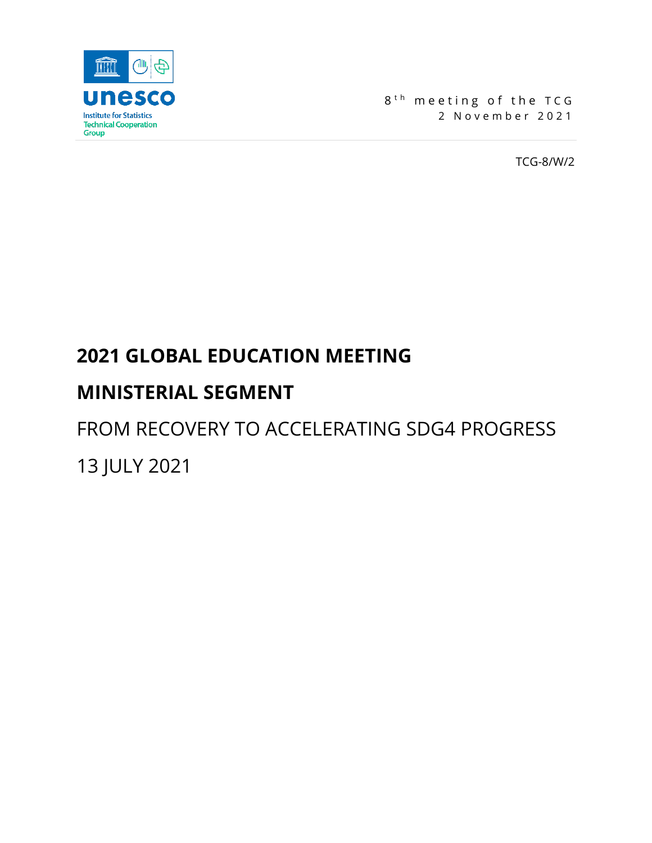

8<sup>th</sup> meeting of the TCG 2 November 2021

TCG-8/W/2

# **2021 GLOBAL EDUCATION MEETING**

# **MINISTERIAL SEGMENT**

FROM RECOVERY TO ACCELERATING SDG4 PROGRESS 13 JULY 2021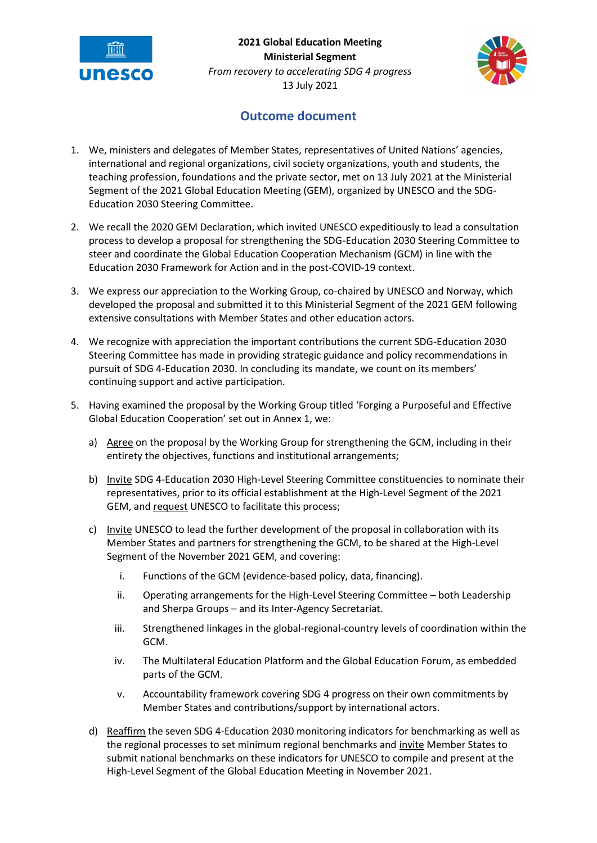

**2021 Global Education Meeting Ministerial Segment** *From recovery to accelerating SDG 4 progress* 13 July 2021



## **Outcome document**

- 1. We, ministers and delegates of Member States, representatives of United Nations' agencies, international and regional organizations, civil society organizations, youth and students, the teaching profession, foundations and the private sector, met on 13 July 2021 at the Ministerial Segment of the 2021 Global Education Meeting (GEM), organized by UNESCO and the SDG-Education 2030 Steering Committee.
- 2. We recall the 2020 GEM Declaration, which invited UNESCO expeditiously to lead a consultation process to develop a proposal for strengthening the SDG-Education 2030 Steering Committee to steer and coordinate the Global Education Cooperation Mechanism (GCM) in line with the Education 2030 Framework for Action and in the post-COVID-19 context.
- 3. We express our appreciation to the Working Group, co-chaired by UNESCO and Norway, which developed the proposal and submitted it to this Ministerial Segment of the 2021 GEM following extensive consultations with Member States and other education actors.
- 4. We recognize with appreciation the important contributions the current SDG-Education 2030 Steering Committee has made in providing strategic guidance and policy recommendations in pursuit of SDG 4-Education 2030. In concluding its mandate, we count on its members' continuing support and active participation.
- 5. Having examined the proposal by the Working Group titled 'Forging a Purposeful and Effective Global Education Cooperation' set out in Annex 1, we:
	- a) Agree on the proposal by the Working Group for strengthening the GCM, including in their entirety the objectives, functions and institutional arrangements;
	- b) Invite SDG 4-Education 2030 High-Level Steering Committee constituencies to nominate their representatives, prior to its official establishment at the High-Level Segment of the 2021 GEM, and request UNESCO to facilitate this process;
	- c) Invite UNESCO to lead the further development of the proposal in collaboration with its Member States and partners for strengthening the GCM, to be shared at the High-Level Segment of the November 2021 GEM, and covering:
		- i. Functions of the GCM (evidence-based policy, data, financing).
		- ii. Operating arrangements for the High-Level Steering Committee both Leadership and Sherpa Groups – and its Inter-Agency Secretariat.
		- iii. Strengthened linkages in the global-regional-country levels of coordination within the GCM.
		- iv. The Multilateral Education Platform and the Global Education Forum, as embedded parts of the GCM.
		- v. Accountability framework covering SDG 4 progress on their own commitments by Member States and contributions/support by international actors.
	- d) Reaffirm the seven SDG 4-Education 2030 monitoring indicators for benchmarking as well as the regional processes to set minimum regional benchmarks and invite Member States to submit national benchmarks on these indicators for UNESCO to compile and present at the High-Level Segment of the Global Education Meeting in November 2021.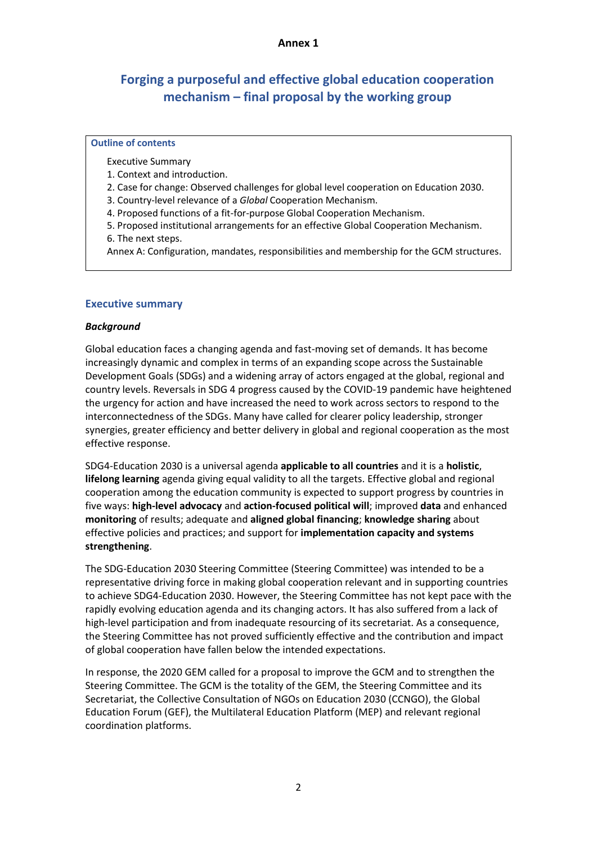#### **Annex 1**

# **Forging a purposeful and effective global education cooperation mechanism – final proposal by the working group**

#### **Outline of contents**

Executive Summary

- 1. Context and introduction.
- 2. Case for change: Observed challenges for global level cooperation on Education 2030.
- 3. Country-level relevance of a *Global* Cooperation Mechanism.
- 4. Proposed functions of a fit-for-purpose Global Cooperation Mechanism.
- 5. Proposed institutional arrangements for an effective Global Cooperation Mechanism.

6. The next steps.

Annex A: Configuration, mandates, responsibilities and membership for the GCM structures.

#### **Executive summary**

#### *Background*

Global education faces a changing agenda and fast-moving set of demands. It has become increasingly dynamic and complex in terms of an expanding scope across the Sustainable Development Goals (SDGs) and a widening array of actors engaged at the global, regional and country levels. Reversals in SDG 4 progress caused by the COVID-19 pandemic have heightened the urgency for action and have increased the need to work across sectors to respond to the interconnectedness of the SDGs. Many have called for clearer policy leadership, stronger synergies, greater efficiency and better delivery in global and regional cooperation as the most effective response.

SDG4-Education 2030 is a universal agenda **applicable to all countries** and it is a **holistic**, **lifelong learning** agenda giving equal validity to all the targets. Effective global and regional cooperation among the education community is expected to support progress by countries in five ways: **high-level advocacy** and **action-focused political will**; improved **data** and enhanced **monitoring** of results; adequate and **aligned global financing**; **knowledge sharing** about effective policies and practices; and support for **implementation capacity and systems strengthening**.

The SDG-Education 2030 Steering Committee (Steering Committee) was intended to be a representative driving force in making global cooperation relevant and in supporting countries to achieve SDG4-Education 2030. However, the Steering Committee has not kept pace with the rapidly evolving education agenda and its changing actors. It has also suffered from a lack of high-level participation and from inadequate resourcing of its secretariat. As a consequence, the Steering Committee has not proved sufficiently effective and the contribution and impact of global cooperation have fallen below the intended expectations.

In response, the 2020 GEM called for a proposal to improve the GCM and to strengthen the Steering Committee. The GCM is the totality of the GEM, the Steering Committee and its Secretariat, the Collective Consultation of NGOs on Education 2030 (CCNGO), the Global Education Forum (GEF), the Multilateral Education Platform (MEP) and relevant regional coordination platforms.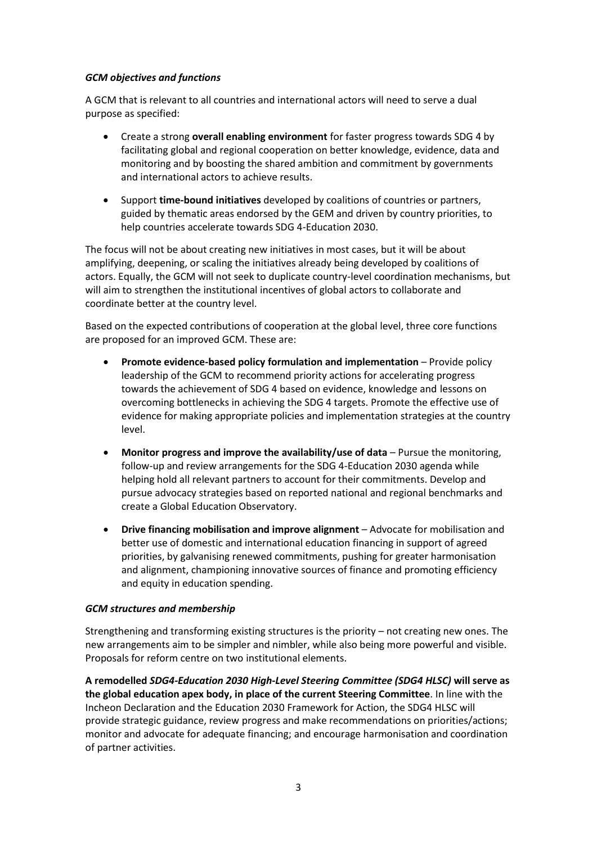#### *GCM objectives and functions*

A GCM that is relevant to all countries and international actors will need to serve a dual purpose as specified:

- Create a strong **overall enabling environment** for faster progress towards SDG 4 by facilitating global and regional cooperation on better knowledge, evidence, data and monitoring and by boosting the shared ambition and commitment by governments and international actors to achieve results.
- Support **time-bound initiatives** developed by coalitions of countries or partners, guided by thematic areas endorsed by the GEM and driven by country priorities, to help countries accelerate towards SDG 4-Education 2030.

The focus will not be about creating new initiatives in most cases, but it will be about amplifying, deepening, or scaling the initiatives already being developed by coalitions of actors. Equally, the GCM will not seek to duplicate country-level coordination mechanisms, but will aim to strengthen the institutional incentives of global actors to collaborate and coordinate better at the country level.

Based on the expected contributions of cooperation at the global level, three core functions are proposed for an improved GCM. These are:

- **Promote evidence-based policy formulation and implementation**  Provide policy leadership of the GCM to recommend priority actions for accelerating progress towards the achievement of SDG 4 based on evidence, knowledge and lessons on overcoming bottlenecks in achieving the SDG 4 targets. Promote the effective use of evidence for making appropriate policies and implementation strategies at the country level.
- **Monitor progress and improve the availability/use of data** Pursue the monitoring, follow-up and review arrangements for the SDG 4-Education 2030 agenda while helping hold all relevant partners to account for their commitments. Develop and pursue advocacy strategies based on reported national and regional benchmarks and create a Global Education Observatory.
- **Drive financing mobilisation and improve alignment** Advocate for mobilisation and better use of domestic and international education financing in support of agreed priorities, by galvanising renewed commitments, pushing for greater harmonisation and alignment, championing innovative sources of finance and promoting efficiency and equity in education spending.

#### *GCM structures and membership*

Strengthening and transforming existing structures is the priority – not creating new ones. The new arrangements aim to be simpler and nimbler, while also being more powerful and visible. Proposals for reform centre on two institutional elements.

**A remodelled** *SDG4-Education 2030 High-Level Steering Committee (SDG4 HLSC)* **will serve as the global education apex body, in place of the current Steering Committee**. In line with the Incheon Declaration and the Education 2030 Framework for Action, the SDG4 HLSC will provide strategic guidance, review progress and make recommendations on priorities/actions; monitor and advocate for adequate financing; and encourage harmonisation and coordination of partner activities.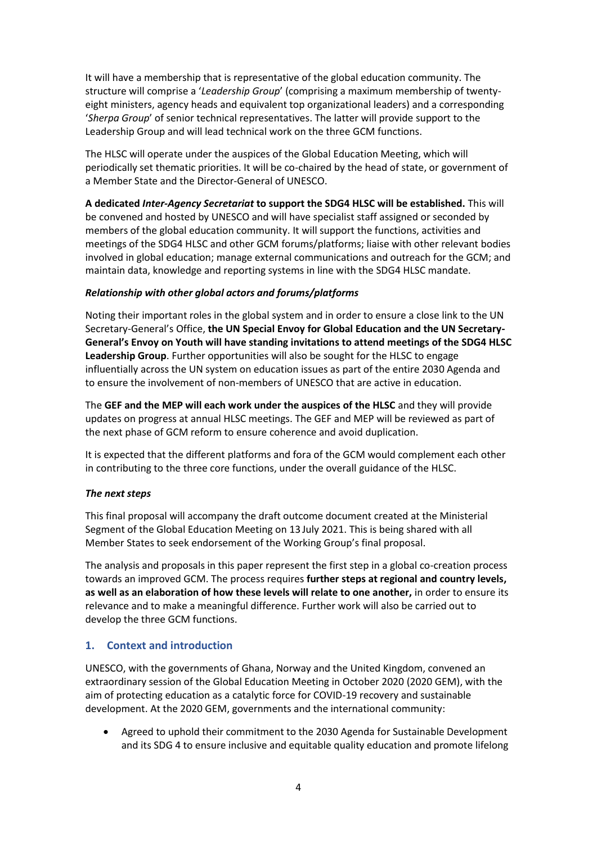It will have a membership that is representative of the global education community. The structure will comprise a '*Leadership Group*' (comprising a maximum membership of twentyeight ministers, agency heads and equivalent top organizational leaders) and a corresponding '*Sherpa Group*' of senior technical representatives. The latter will provide support to the Leadership Group and will lead technical work on the three GCM functions.

The HLSC will operate under the auspices of the Global Education Meeting, which will periodically set thematic priorities. It will be co-chaired by the head of state, or government of a Member State and the Director-General of UNESCO.

**A dedicated** *Inter-Agency Secretariat* **to support the SDG4 HLSC will be established.** This will be convened and hosted by UNESCO and will have specialist staff assigned or seconded by members of the global education community. It will support the functions, activities and meetings of the SDG4 HLSC and other GCM forums/platforms; liaise with other relevant bodies involved in global education; manage external communications and outreach for the GCM; and maintain data, knowledge and reporting systems in line with the SDG4 HLSC mandate.

#### *Relationship with other global actors and forums/platforms*

Noting their important roles in the global system and in order to ensure a close link to the UN Secretary-General's Office, **the UN Special Envoy for Global Education and the UN Secretary-General's Envoy on Youth will have standing invitations to attend meetings of the SDG4 HLSC Leadership Group**. Further opportunities will also be sought for the HLSC to engage influentially across the UN system on education issues as part of the entire 2030 Agenda and to ensure the involvement of non-members of UNESCO that are active in education.

The **GEF and the MEP will each work under the auspices of the HLSC** and they will provide updates on progress at annual HLSC meetings. The GEF and MEP will be reviewed as part of the next phase of GCM reform to ensure coherence and avoid duplication.

It is expected that the different platforms and fora of the GCM would complement each other in contributing to the three core functions, under the overall guidance of the HLSC.

#### *The next steps*

This final proposal will accompany the draft outcome document created at the Ministerial Segment of the Global Education Meeting on 13 July 2021. This is being shared with all Member States to seek endorsement of the Working Group's final proposal.

The analysis and proposals in this paper represent the first step in a global co-creation process towards an improved GCM. The process requires **further steps at regional and country levels, as well as an elaboration of how these levels will relate to one another,** in order to ensure its relevance and to make a meaningful difference. Further work will also be carried out to develop the three GCM functions.

#### **1. Context and introduction**

UNESCO, with the governments of Ghana, Norway and the United Kingdom, convened an extraordinary session of the Global Education Meeting in October 2020 (2020 GEM), with the aim of protecting education as a catalytic force for COVID-19 recovery and sustainable development. At the 2020 GEM, governments and the international community:

• Agreed to uphold their commitment to the 2030 Agenda for Sustainable Development and its SDG 4 to ensure inclusive and equitable quality education and promote lifelong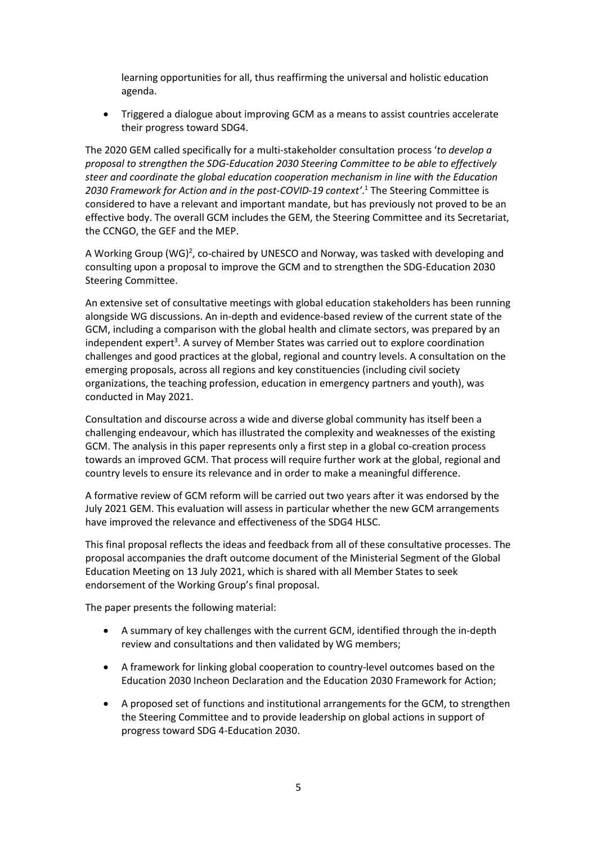learning opportunities for all, thus reaffirming the universal and holistic education agenda.

• Triggered a dialogue about improving GCM as a means to assist countries accelerate their progress toward SDG4.

The 2020 GEM called specifically for a multi-stakeholder consultation process '*to develop a proposal to strengthen the SDG-Education 2030 Steering Committee to be able to effectively steer and coordinate the global education cooperation mechanism in line with the Education 2030 Framework for Action and in the post-COVID-19 context'*. <sup>1</sup> The Steering Committee is considered to have a relevant and important mandate, but has previously not proved to be an effective body. The overall GCM includes the GEM, the Steering Committee and its Secretariat, the CCNGO, the GEF and the MEP.

A Working Group (WG)<sup>2</sup>, co-chaired by UNESCO and Norway, was tasked with developing and consulting upon a proposal to improve the GCM and to strengthen the SDG-Education 2030 Steering Committee.

An extensive set of consultative meetings with global education stakeholders has been running alongside WG discussions. An in-depth and evidence-based review of the current state of the GCM, including a comparison with the global health and climate sectors, was prepared by an independent expert<sup>3</sup>. A survey of Member States was carried out to explore coordination challenges and good practices at the global, regional and country levels. A consultation on the emerging proposals, across all regions and key constituencies (including civil society organizations, the teaching profession, education in emergency partners and youth), was conducted in May 2021.

Consultation and discourse across a wide and diverse global community has itself been a challenging endeavour, which has illustrated the complexity and weaknesses of the existing GCM. The analysis in this paper represents only a first step in a global co-creation process towards an improved GCM. That process will require further work at the global, regional and country levels to ensure its relevance and in order to make a meaningful difference.

A formative review of GCM reform will be carried out two years after it was endorsed by the July 2021 GEM. This evaluation will assess in particular whether the new GCM arrangements have improved the relevance and effectiveness of the SDG4 HLSC.

This final proposal reflects the ideas and feedback from all of these consultative processes. The proposal accompanies the draft outcome document of the Ministerial Segment of the Global Education Meeting on 13 July 2021, which is shared with all Member States to seek endorsement of the Working Group's final proposal.

The paper presents the following material:

- A summary of key challenges with the current GCM, identified through the in-depth review and consultations and then validated by WG members;
- A framework for linking global cooperation to country-level outcomes based on the Education 2030 Incheon Declaration and the Education 2030 Framework for Action;
- A proposed set of functions and institutional arrangements for the GCM, to strengthen the Steering Committee and to provide leadership on global actions in support of progress toward SDG 4-Education 2030.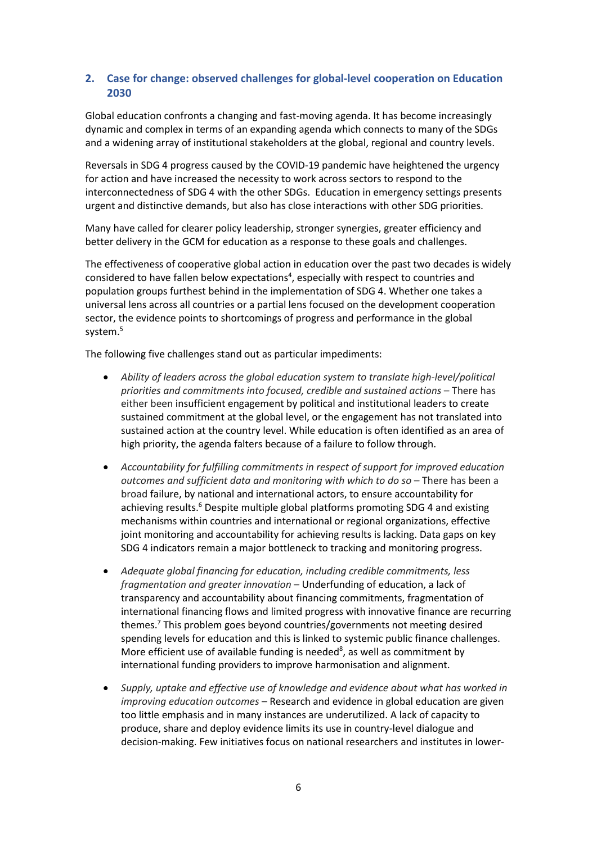### **2. Case for change: observed challenges for global-level cooperation on Education 2030**

Global education confronts a changing and fast-moving agenda. It has become increasingly dynamic and complex in terms of an expanding agenda which connects to many of the SDGs and a widening array of institutional stakeholders at the global, regional and country levels.

Reversals in SDG 4 progress caused by the COVID-19 pandemic have heightened the urgency for action and have increased the necessity to work across sectors to respond to the interconnectedness of SDG 4 with the other SDGs. Education in emergency settings presents urgent and distinctive demands, but also has close interactions with other SDG priorities.

Many have called for clearer policy leadership, stronger synergies, greater efficiency and better delivery in the GCM for education as a response to these goals and challenges.

The effectiveness of cooperative global action in education over the past two decades is widely considered to have fallen below expectations<sup>4</sup>, especially with respect to countries and population groups furthest behind in the implementation of SDG 4. Whether one takes a universal lens across all countries or a partial lens focused on the development cooperation sector, the evidence points to shortcomings of progress and performance in the global system.<sup>5</sup>

The following five challenges stand out as particular impediments:

- *Ability of leaders across the global education system to translate high-level/political priorities and commitments into focused, credible and sustained actions* – There has either been insufficient engagement by political and institutional leaders to create sustained commitment at the global level, or the engagement has not translated into sustained action at the country level. While education is often identified as an area of high priority, the agenda falters because of a failure to follow through.
- *Accountability for fulfilling commitments in respect of support for improved education outcomes and sufficient data and monitoring with which to do so* – There has been a broad failure, by national and international actors, to ensure accountability for achieving results.<sup>6</sup> Despite multiple global platforms promoting SDG 4 and existing mechanisms within countries and international or regional organizations, effective joint monitoring and accountability for achieving results is lacking. Data gaps on key SDG 4 indicators remain a major bottleneck to tracking and monitoring progress.
- *Adequate global financing for education, including credible commitments, less fragmentation and greater innovation* – Underfunding of education, a lack of transparency and accountability about financing commitments, fragmentation of international financing flows and limited progress with innovative finance are recurring themes.<sup>7</sup> This problem goes beyond countries/governments not meeting desired spending levels for education and this is linked to systemic public finance challenges. More efficient use of available funding is needed $8$ , as well as commitment by international funding providers to improve harmonisation and alignment.
- *Supply, uptake and effective use of knowledge and evidence about what has worked in improving education outcomes* – Research and evidence in global education are given too little emphasis and in many instances are underutilized. A lack of capacity to produce, share and deploy evidence limits its use in country-level dialogue and decision-making. Few initiatives focus on national researchers and institutes in lower-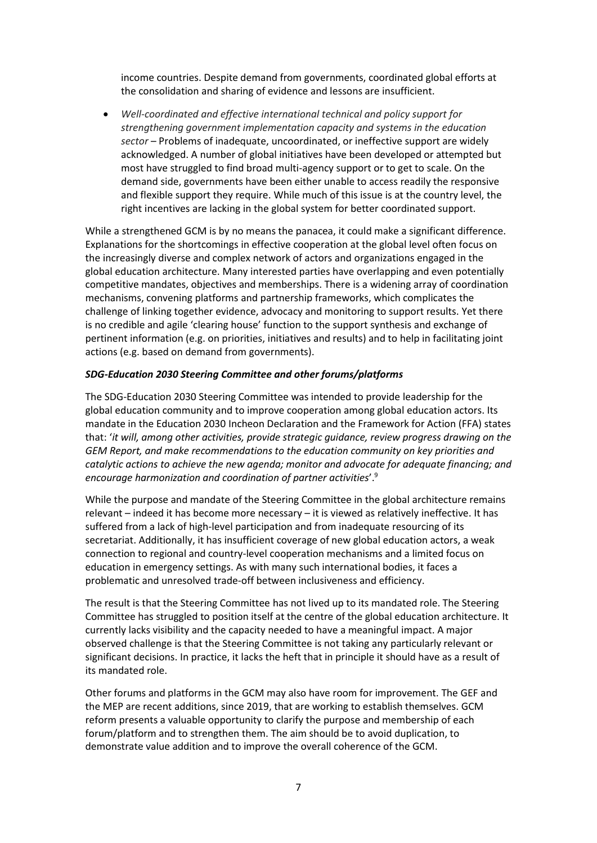income countries. Despite demand from governments, coordinated global efforts at the consolidation and sharing of evidence and lessons are insufficient.

• *Well-coordinated and effective international technical and policy support for strengthening government implementation capacity and systems in the education sector* – Problems of inadequate, uncoordinated, or ineffective support are widely acknowledged. A number of global initiatives have been developed or attempted but most have struggled to find broad multi-agency support or to get to scale. On the demand side, governments have been either unable to access readily the responsive and flexible support they require. While much of this issue is at the country level, the right incentives are lacking in the global system for better coordinated support.

While a strengthened GCM is by no means the panacea, it could make a significant difference. Explanations for the shortcomings in effective cooperation at the global level often focus on the increasingly diverse and complex network of actors and organizations engaged in the global education architecture. Many interested parties have overlapping and even potentially competitive mandates, objectives and memberships. There is a widening array of coordination mechanisms, convening platforms and partnership frameworks, which complicates the challenge of linking together evidence, advocacy and monitoring to support results. Yet there is no credible and agile 'clearing house' function to the support synthesis and exchange of pertinent information (e.g. on priorities, initiatives and results) and to help in facilitating joint actions (e.g. based on demand from governments).

#### *SDG-Education 2030 Steering Committee and other forums/platforms*

The SDG-Education 2030 Steering Committee was intended to provide leadership for the global education community and to improve cooperation among global education actors. Its mandate in the Education 2030 Incheon Declaration and the Framework for Action (FFA) states that: '*it will, among other activities, provide strategic guidance, review progress drawing on the GEM Report, and make recommendations to the education community on key priorities and catalytic actions to achieve the new agenda; monitor and advocate for adequate financing; and encourage harmonization and coordination of partner activities*'. 9

While the purpose and mandate of the Steering Committee in the global architecture remains relevant – indeed it has become more necessary – it is viewed as relatively ineffective. It has suffered from a lack of high-level participation and from inadequate resourcing of its secretariat. Additionally, it has insufficient coverage of new global education actors, a weak connection to regional and country-level cooperation mechanisms and a limited focus on education in emergency settings. As with many such international bodies, it faces a problematic and unresolved trade-off between inclusiveness and efficiency.

The result is that the Steering Committee has not lived up to its mandated role. The Steering Committee has struggled to position itself at the centre of the global education architecture. It currently lacks visibility and the capacity needed to have a meaningful impact. A major observed challenge is that the Steering Committee is not taking any particularly relevant or significant decisions. In practice, it lacks the heft that in principle it should have as a result of its mandated role.

Other forums and platforms in the GCM may also have room for improvement. The GEF and the MEP are recent additions, since 2019, that are working to establish themselves. GCM reform presents a valuable opportunity to clarify the purpose and membership of each forum/platform and to strengthen them. The aim should be to avoid duplication, to demonstrate value addition and to improve the overall coherence of the GCM.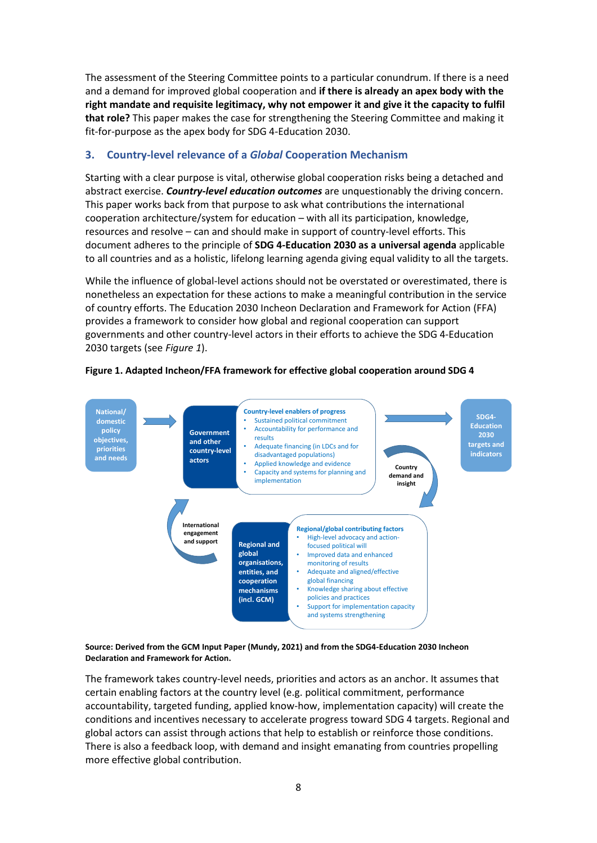The assessment of the Steering Committee points to a particular conundrum. If there is a need and a demand for improved global cooperation and **if there is already an apex body with the right mandate and requisite legitimacy, why not empower it and give it the capacity to fulfil that role?** This paper makes the case for strengthening the Steering Committee and making it fit-for-purpose as the apex body for SDG 4-Education 2030.

#### **3. Country-level relevance of a** *Global* **Cooperation Mechanism**

Starting with a clear purpose is vital, otherwise global cooperation risks being a detached and abstract exercise. *Country-level education outcomes* are unquestionably the driving concern. This paper works back from that purpose to ask what contributions the international cooperation architecture/system for education – with all its participation, knowledge, resources and resolve – can and should make in support of country-level efforts. This document adheres to the principle of **SDG 4-Education 2030 as a universal agenda** applicable to all countries and as a holistic, lifelong learning agenda giving equal validity to all the targets.

While the influence of global-level actions should not be overstated or overestimated, there is nonetheless an expectation for these actions to make a meaningful contribution in the service of country efforts. The Education 2030 Incheon Declaration and Framework for Action (FFA) provides a framework to consider how global and regional cooperation can support governments and other country-level actors in their efforts to achieve the SDG 4-Education 2030 targets (see *Figure 1*).



#### **Figure 1. Adapted Incheon/FFA framework for effective global cooperation around SDG 4**

**Source: Derived from the GCM Input Paper (Mundy, 2021) and from the SDG4-Education 2030 Incheon Declaration and Framework for Action.**

The framework takes country-level needs, priorities and actors as an anchor. It assumes that certain enabling factors at the country level (e.g. political commitment, performance accountability, targeted funding, applied know-how, implementation capacity) will create the conditions and incentives necessary to accelerate progress toward SDG 4 targets. Regional and global actors can assist through actions that help to establish or reinforce those conditions. There is also a feedback loop, with demand and insight emanating from countries propelling more effective global contribution.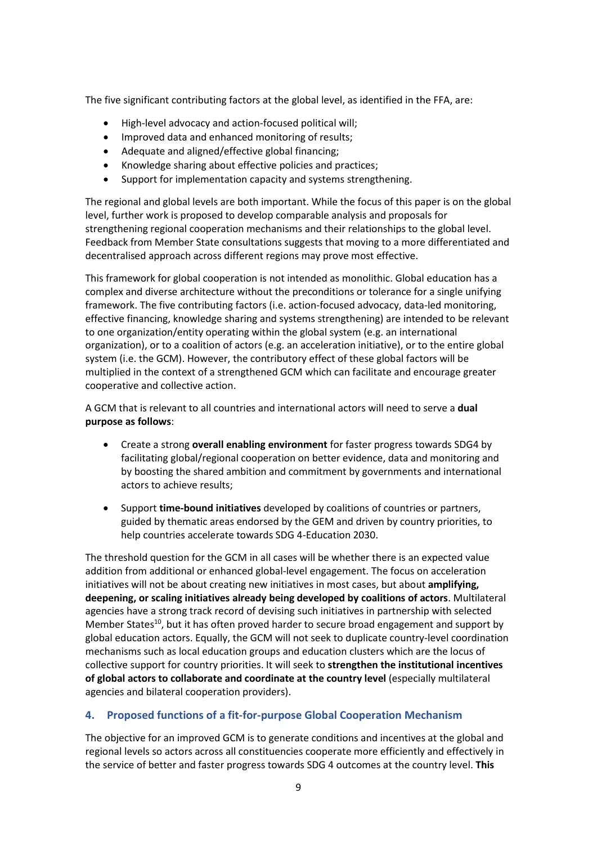The five significant contributing factors at the global level, as identified in the FFA, are:

- High-level advocacy and action-focused political will;
- Improved data and enhanced monitoring of results;
- Adequate and aligned/effective global financing;
- Knowledge sharing about effective policies and practices;
- Support for implementation capacity and systems strengthening.

The regional and global levels are both important. While the focus of this paper is on the global level, further work is proposed to develop comparable analysis and proposals for strengthening regional cooperation mechanisms and their relationships to the global level. Feedback from Member State consultations suggests that moving to a more differentiated and decentralised approach across different regions may prove most effective.

This framework for global cooperation is not intended as monolithic. Global education has a complex and diverse architecture without the preconditions or tolerance for a single unifying framework. The five contributing factors (i.e. action-focused advocacy, data-led monitoring, effective financing, knowledge sharing and systems strengthening) are intended to be relevant to one organization/entity operating within the global system (e.g. an international organization), or to a coalition of actors (e.g. an acceleration initiative), or to the entire global system (i.e. the GCM). However, the contributory effect of these global factors will be multiplied in the context of a strengthened GCM which can facilitate and encourage greater cooperative and collective action.

A GCM that is relevant to all countries and international actors will need to serve a **dual purpose as follows**:

- Create a strong **overall enabling environment** for faster progress towards SDG4 by facilitating global/regional cooperation on better evidence, data and monitoring and by boosting the shared ambition and commitment by governments and international actors to achieve results;
- Support **time-bound initiatives** developed by coalitions of countries or partners, guided by thematic areas endorsed by the GEM and driven by country priorities, to help countries accelerate towards SDG 4-Education 2030.

The threshold question for the GCM in all cases will be whether there is an expected value addition from additional or enhanced global-level engagement. The focus on acceleration initiatives will not be about creating new initiatives in most cases, but about **amplifying, deepening, or scaling initiatives already being developed by coalitions of actors**. Multilateral agencies have a strong track record of devising such initiatives in partnership with selected Member States<sup>10</sup>, but it has often proved harder to secure broad engagement and support by global education actors. Equally, the GCM will not seek to duplicate country-level coordination mechanisms such as local education groups and education clusters which are the locus of collective support for country priorities. It will seek to **strengthen the institutional incentives of global actors to collaborate and coordinate at the country level** (especially multilateral agencies and bilateral cooperation providers).

#### **4. Proposed functions of a fit-for-purpose Global Cooperation Mechanism**

The objective for an improved GCM is to generate conditions and incentives at the global and regional levels so actors across all constituencies cooperate more efficiently and effectively in the service of better and faster progress towards SDG 4 outcomes at the country level. **This**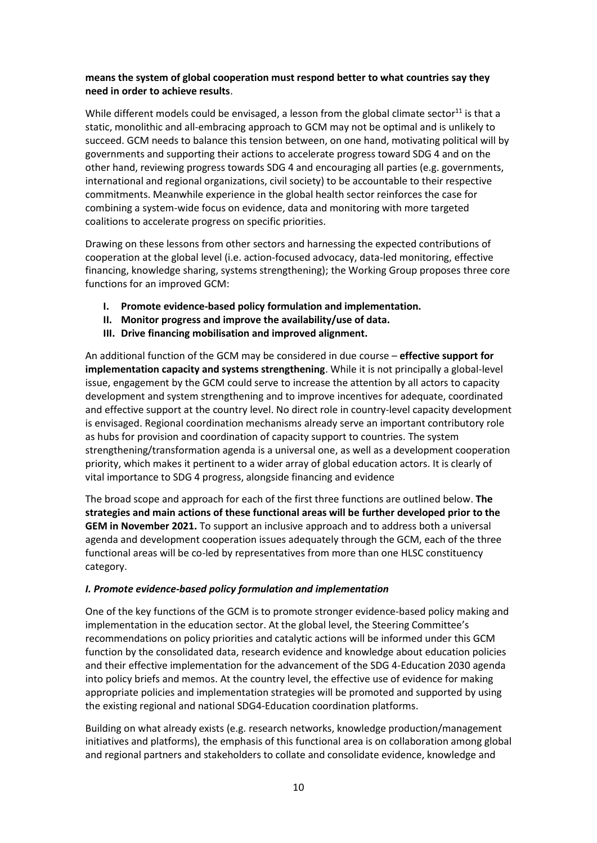#### **means the system of global cooperation must respond better to what countries say they need in order to achieve results**.

While different models could be envisaged, a lesson from the global climate sector<sup>11</sup> is that a static, monolithic and all-embracing approach to GCM may not be optimal and is unlikely to succeed. GCM needs to balance this tension between, on one hand, motivating political will by governments and supporting their actions to accelerate progress toward SDG 4 and on the other hand, reviewing progress towards SDG 4 and encouraging all parties (e.g. governments, international and regional organizations, civil society) to be accountable to their respective commitments. Meanwhile experience in the global health sector reinforces the case for combining a system-wide focus on evidence, data and monitoring with more targeted coalitions to accelerate progress on specific priorities.

Drawing on these lessons from other sectors and harnessing the expected contributions of cooperation at the global level (i.e. action-focused advocacy, data-led monitoring, effective financing, knowledge sharing, systems strengthening); the Working Group proposes three core functions for an improved GCM:

- **I. Promote evidence-based policy formulation and implementation.**
- **II. Monitor progress and improve the availability/use of data.**
- **III. Drive financing mobilisation and improved alignment.**

An additional function of the GCM may be considered in due course – **effective support for implementation capacity and systems strengthening**. While it is not principally a global-level issue, engagement by the GCM could serve to increase the attention by all actors to capacity development and system strengthening and to improve incentives for adequate, coordinated and effective support at the country level. No direct role in country-level capacity development is envisaged. Regional coordination mechanisms already serve an important contributory role as hubs for provision and coordination of capacity support to countries. The system strengthening/transformation agenda is a universal one, as well as a development cooperation priority, which makes it pertinent to a wider array of global education actors. It is clearly of vital importance to SDG 4 progress, alongside financing and evidence

The broad scope and approach for each of the first three functions are outlined below. **The strategies and main actions of these functional areas will be further developed prior to the GEM in November 2021.** To support an inclusive approach and to address both a universal agenda and development cooperation issues adequately through the GCM, each of the three functional areas will be co-led by representatives from more than one HLSC constituency category.

#### *I. Promote evidence-based policy formulation and implementation*

One of the key functions of the GCM is to promote stronger evidence-based policy making and implementation in the education sector. At the global level, the Steering Committee's recommendations on policy priorities and catalytic actions will be informed under this GCM function by the consolidated data, research evidence and knowledge about education policies and their effective implementation for the advancement of the SDG 4-Education 2030 agenda into policy briefs and memos. At the country level, the effective use of evidence for making appropriate policies and implementation strategies will be promoted and supported by using the existing regional and national SDG4-Education coordination platforms.

Building on what already exists (e.g. research networks, knowledge production/management initiatives and platforms), the emphasis of this functional area is on collaboration among global and regional partners and stakeholders to collate and consolidate evidence, knowledge and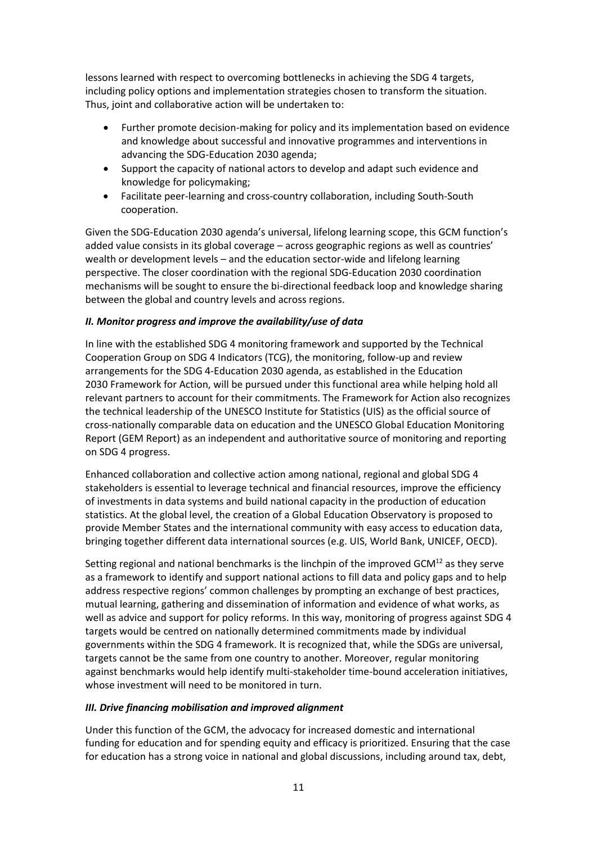lessons learned with respect to overcoming bottlenecks in achieving the SDG 4 targets, including policy options and implementation strategies chosen to transform the situation. Thus, joint and collaborative action will be undertaken to:

- Further promote decision-making for policy and its implementation based on evidence and knowledge about successful and innovative programmes and interventions in advancing the SDG-Education 2030 agenda;
- Support the capacity of national actors to develop and adapt such evidence and knowledge for policymaking;
- Facilitate peer-learning and cross-country collaboration, including South-South cooperation.

Given the SDG-Education 2030 agenda's universal, lifelong learning scope, this GCM function's added value consists in its global coverage – across geographic regions as well as countries' wealth or development levels – and the education sector-wide and lifelong learning perspective. The closer coordination with the regional SDG-Education 2030 coordination mechanisms will be sought to ensure the bi-directional feedback loop and knowledge sharing between the global and country levels and across regions.

#### *II. Monitor progress and improve the availability/use of data*

In line with the established SDG 4 monitoring framework and supported by the Technical Cooperation Group on SDG 4 Indicators (TCG), the monitoring, follow-up and review arrangements for the SDG 4-Education 2030 agenda, as established in the Education 2030 Framework for Action, will be pursued under this functional area while helping hold all relevant partners to account for their commitments. The Framework for Action also recognizes the technical leadership of the UNESCO Institute for Statistics (UIS) as the official source of cross-nationally comparable data on education and the UNESCO Global Education Monitoring Report (GEM Report) as an independent and authoritative source of monitoring and reporting on SDG 4 progress.

Enhanced collaboration and collective action among national, regional and global SDG 4 stakeholders is essential to leverage technical and financial resources, improve the efficiency of investments in data systems and build national capacity in the production of education statistics. At the global level, the creation of a Global Education Observatory is proposed to provide Member States and the international community with easy access to education data, bringing together different data international sources (e.g. UIS, World Bank, UNICEF, OECD).

Setting regional and national benchmarks is the linchpin of the improved GCM<sup>12</sup> as they serve as a framework to identify and support national actions to fill data and policy gaps and to help address respective regions' common challenges by prompting an exchange of best practices, mutual learning, gathering and dissemination of information and evidence of what works, as well as advice and support for policy reforms. In this way, monitoring of progress against SDG 4 targets would be centred on nationally determined commitments made by individual governments within the SDG 4 framework. It is recognized that, while the SDGs are universal, targets cannot be the same from one country to another. Moreover, regular monitoring against benchmarks would help identify multi-stakeholder time-bound acceleration initiatives, whose investment will need to be monitored in turn.

#### *III. Drive financing mobilisation and improved alignment*

Under this function of the GCM, the advocacy for increased domestic and international funding for education and for spending equity and efficacy is prioritized. Ensuring that the case for education has a strong voice in national and global discussions, including around tax, debt,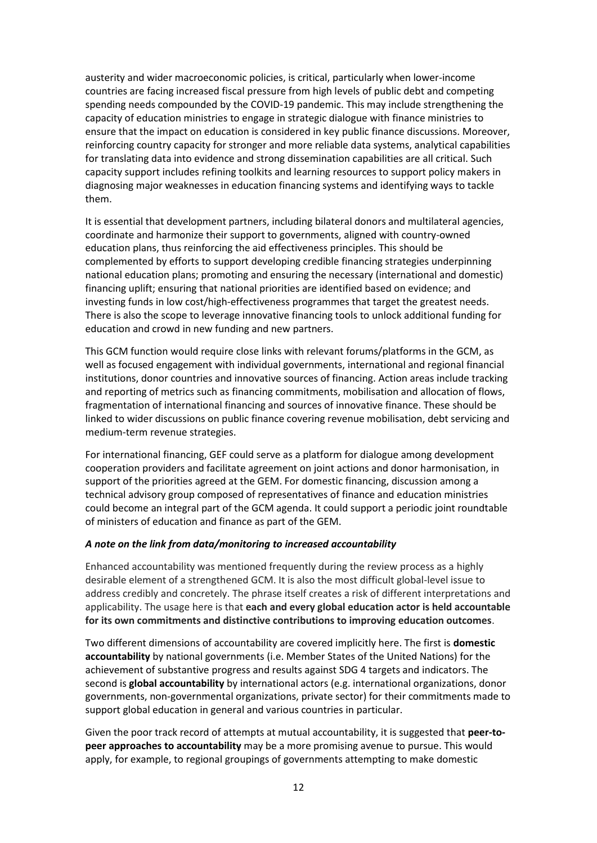austerity and wider macroeconomic policies, is critical, particularly when lower-income countries are facing increased fiscal pressure from high levels of public debt and competing spending needs compounded by the COVID-19 pandemic. This may include strengthening the capacity of education ministries to engage in strategic dialogue with finance ministries to ensure that the impact on education is considered in key public finance discussions. Moreover, reinforcing country capacity for stronger and more reliable data systems, analytical capabilities for translating data into evidence and strong dissemination capabilities are all critical. Such capacity support includes refining toolkits and learning resources to support policy makers in diagnosing major weaknesses in education financing systems and identifying ways to tackle them.

It is essential that development partners, including bilateral donors and multilateral agencies, coordinate and harmonize their support to governments, aligned with country-owned education plans, thus reinforcing the aid effectiveness principles. This should be complemented by efforts to support developing credible financing strategies underpinning national education plans; promoting and ensuring the necessary (international and domestic) financing uplift; ensuring that national priorities are identified based on evidence; and investing funds in low cost/high-effectiveness programmes that target the greatest needs. There is also the scope to leverage innovative financing tools to unlock additional funding for education and crowd in new funding and new partners.

This GCM function would require close links with relevant forums/platforms in the GCM, as well as focused engagement with individual governments, international and regional financial institutions, donor countries and innovative sources of financing. Action areas include tracking and reporting of metrics such as financing commitments, mobilisation and allocation of flows, fragmentation of international financing and sources of innovative finance. These should be linked to wider discussions on public finance covering revenue mobilisation, debt servicing and medium-term revenue strategies.

For international financing, GEF could serve as a platform for dialogue among development cooperation providers and facilitate agreement on joint actions and donor harmonisation, in support of the priorities agreed at the GEM. For domestic financing, discussion among a technical advisory group composed of representatives of finance and education ministries could become an integral part of the GCM agenda. It could support a periodic joint roundtable of ministers of education and finance as part of the GEM.

#### *A note on the link from data/monitoring to increased accountability*

Enhanced accountability was mentioned frequently during the review process as a highly desirable element of a strengthened GCM. It is also the most difficult global-level issue to address credibly and concretely. The phrase itself creates a risk of different interpretations and applicability. The usage here is that **each and every global education actor is held accountable for its own commitments and distinctive contributions to improving education outcomes**.

Two different dimensions of accountability are covered implicitly here. The first is **domestic accountability** by national governments (i.e. Member States of the United Nations) for the achievement of substantive progress and results against SDG 4 targets and indicators. The second is **global accountability** by international actors (e.g. international organizations, donor governments, non-governmental organizations, private sector) for their commitments made to support global education in general and various countries in particular.

Given the poor track record of attempts at mutual accountability, it is suggested that **peer-topeer approaches to accountability** may be a more promising avenue to pursue. This would apply, for example, to regional groupings of governments attempting to make domestic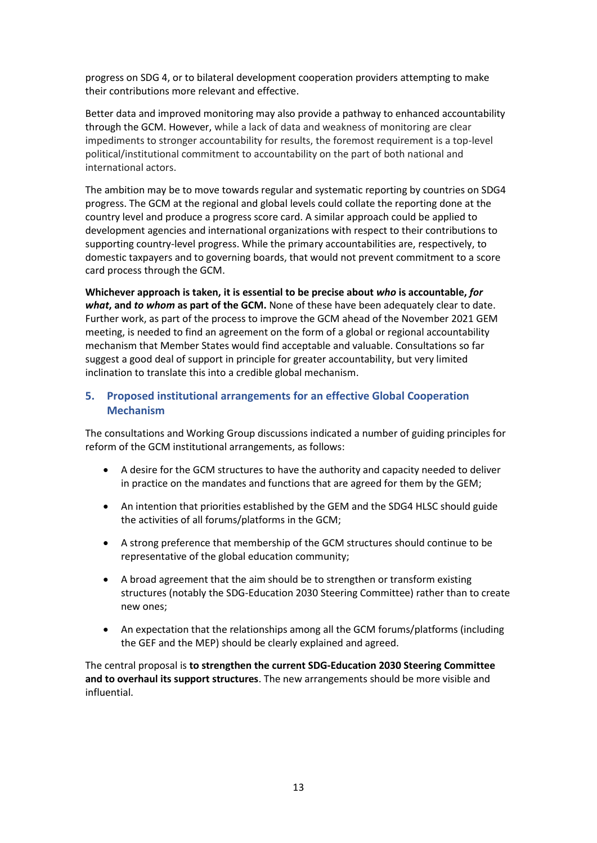progress on SDG 4, or to bilateral development cooperation providers attempting to make their contributions more relevant and effective.

Better data and improved monitoring may also provide a pathway to enhanced accountability through the GCM. However, while a lack of data and weakness of monitoring are clear impediments to stronger accountability for results, the foremost requirement is a top-level political/institutional commitment to accountability on the part of both national and international actors.

The ambition may be to move towards regular and systematic reporting by countries on SDG4 progress. The GCM at the regional and global levels could collate the reporting done at the country level and produce a progress score card. A similar approach could be applied to development agencies and international organizations with respect to their contributions to supporting country-level progress. While the primary accountabilities are, respectively, to domestic taxpayers and to governing boards, that would not prevent commitment to a score card process through the GCM.

**Whichever approach is taken, it is essential to be precise about** *who* **is accountable,** *for what***, and** *to whom* **as part of the GCM.** None of these have been adequately clear to date. Further work, as part of the process to improve the GCM ahead of the November 2021 GEM meeting, is needed to find an agreement on the form of a global or regional accountability mechanism that Member States would find acceptable and valuable. Consultations so far suggest a good deal of support in principle for greater accountability, but very limited inclination to translate this into a credible global mechanism.

### **5. Proposed institutional arrangements for an effective Global Cooperation Mechanism**

The consultations and Working Group discussions indicated a number of guiding principles for reform of the GCM institutional arrangements, as follows:

- A desire for the GCM structures to have the authority and capacity needed to deliver in practice on the mandates and functions that are agreed for them by the GEM;
- An intention that priorities established by the GEM and the SDG4 HLSC should guide the activities of all forums/platforms in the GCM;
- A strong preference that membership of the GCM structures should continue to be representative of the global education community;
- A broad agreement that the aim should be to strengthen or transform existing structures (notably the SDG-Education 2030 Steering Committee) rather than to create new ones;
- An expectation that the relationships among all the GCM forums/platforms (including the GEF and the MEP) should be clearly explained and agreed.

The central proposal is **to strengthen the current SDG-Education 2030 Steering Committee and to overhaul its support structures**. The new arrangements should be more visible and influential.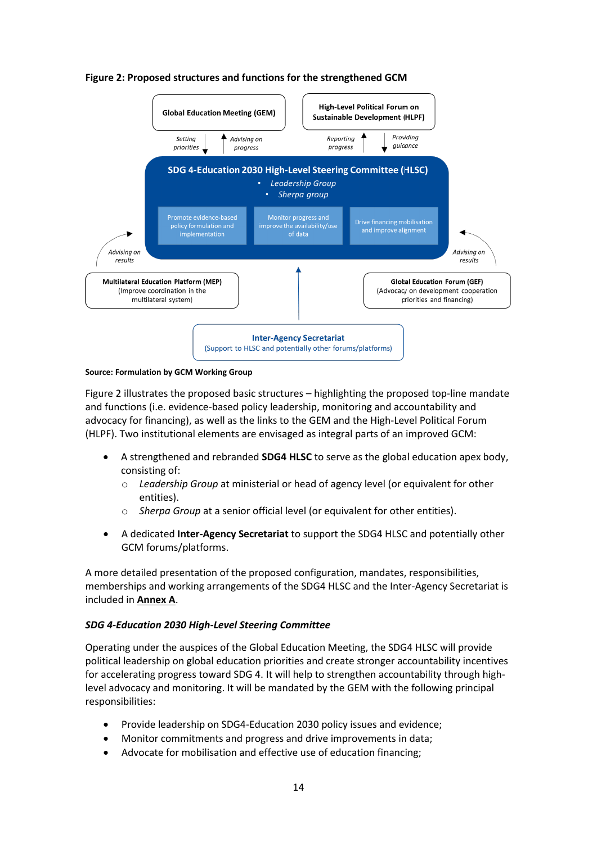

#### **Figure 2: Proposed structures and functions for the strengthened GCM**

#### **Source: Formulation by GCM Working Group**

Figure 2 illustrates the proposed basic structures – highlighting the proposed top-line mandate and functions (i.e. evidence-based policy leadership, monitoring and accountability and advocacy for financing), as well as the links to the GEM and the High-Level Political Forum (HLPF). Two institutional elements are envisaged as integral parts of an improved GCM:

- A strengthened and rebranded **SDG4 HLSC** to serve as the global education apex body, consisting of:
	- o *Leadership Group* at ministerial or head of agency level (or equivalent for other entities).
	- o *Sherpa Group* at a senior official level (or equivalent for other entities).
- A dedicated **Inter-Agency Secretariat** to support the SDG4 HLSC and potentially other GCM forums/platforms.

A more detailed presentation of the proposed configuration, mandates, responsibilities, memberships and working arrangements of the SDG4 HLSC and the Inter-Agency Secretariat is included in **Annex A**.

#### *SDG 4-Education 2030 High-Level Steering Committee*

Operating under the auspices of the Global Education Meeting, the SDG4 HLSC will provide political leadership on global education priorities and create stronger accountability incentives for accelerating progress toward SDG 4. It will help to strengthen accountability through highlevel advocacy and monitoring. It will be mandated by the GEM with the following principal responsibilities:

- Provide leadership on SDG4-Education 2030 policy issues and evidence;
- Monitor commitments and progress and drive improvements in data;
- Advocate for mobilisation and effective use of education financing: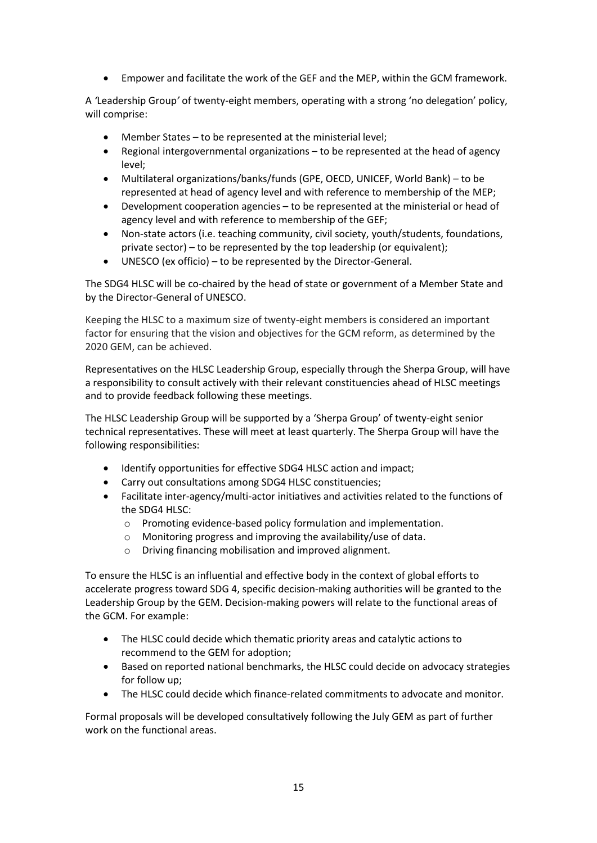• Empower and facilitate the work of the GEF and the MEP, within the GCM framework.

A *'*Leadership Group*'* of twenty-eight members, operating with a strong 'no delegation' policy, will comprise:

- Member States to be represented at the ministerial level;
- Regional intergovernmental organizations to be represented at the head of agency level;
- Multilateral organizations/banks/funds (GPE, OECD, UNICEF, World Bank) to be represented at head of agency level and with reference to membership of the MEP;
- Development cooperation agencies to be represented at the ministerial or head of agency level and with reference to membership of the GEF;
- Non-state actors (i.e. teaching community, civil society, youth/students, foundations, private sector) – to be represented by the top leadership (or equivalent);
- UNESCO (ex officio) to be represented by the Director-General.

The SDG4 HLSC will be co-chaired by the head of state or government of a Member State and by the Director-General of UNESCO.

Keeping the HLSC to a maximum size of twenty-eight members is considered an important factor for ensuring that the vision and objectives for the GCM reform, as determined by the 2020 GEM, can be achieved.

Representatives on the HLSC Leadership Group, especially through the Sherpa Group, will have a responsibility to consult actively with their relevant constituencies ahead of HLSC meetings and to provide feedback following these meetings.

The HLSC Leadership Group will be supported by a 'Sherpa Group' of twenty-eight senior technical representatives. These will meet at least quarterly. The Sherpa Group will have the following responsibilities:

- Identify opportunities for effective SDG4 HLSC action and impact;
- Carry out consultations among SDG4 HLSC constituencies;
- Facilitate inter-agency/multi-actor initiatives and activities related to the functions of the SDG4 HLSC:
	- o Promoting evidence-based policy formulation and implementation.
	- o Monitoring progress and improving the availability/use of data.
	- o Driving financing mobilisation and improved alignment.

To ensure the HLSC is an influential and effective body in the context of global efforts to accelerate progress toward SDG 4, specific decision-making authorities will be granted to the Leadership Group by the GEM. Decision-making powers will relate to the functional areas of the GCM. For example:

- The HLSC could decide which thematic priority areas and catalytic actions to recommend to the GEM for adoption;
- Based on reported national benchmarks, the HLSC could decide on advocacy strategies for follow up;
- The HLSC could decide which finance-related commitments to advocate and monitor.

Formal proposals will be developed consultatively following the July GEM as part of further work on the functional areas.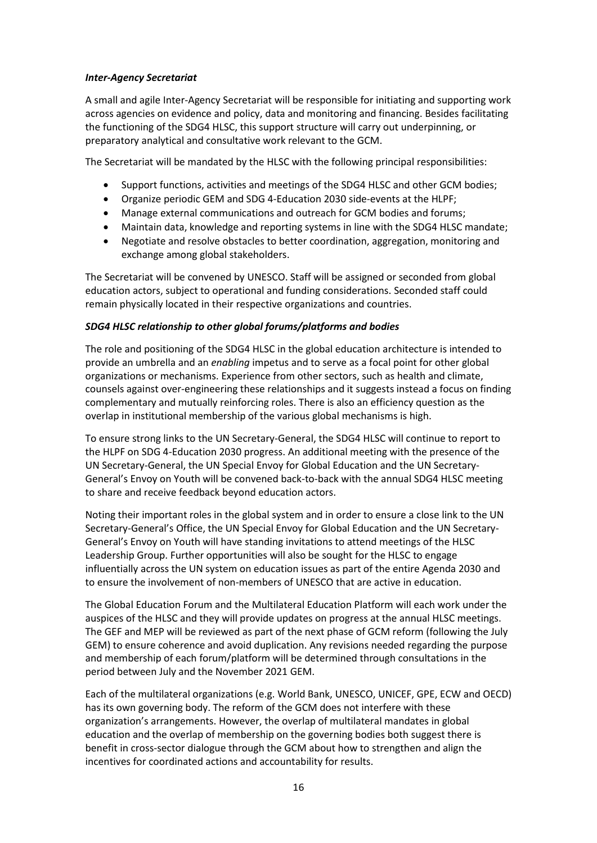#### *Inter-Agency Secretariat*

A small and agile Inter-Agency Secretariat will be responsible for initiating and supporting work across agencies on evidence and policy, data and monitoring and financing. Besides facilitating the functioning of the SDG4 HLSC, this support structure will carry out underpinning, or preparatory analytical and consultative work relevant to the GCM.

The Secretariat will be mandated by the HLSC with the following principal responsibilities:

- Support functions, activities and meetings of the SDG4 HLSC and other GCM bodies;
- Organize periodic GEM and SDG 4-Education 2030 side-events at the HLPF;
- Manage external communications and outreach for GCM bodies and forums;
- Maintain data, knowledge and reporting systems in line with the SDG4 HLSC mandate;
- Negotiate and resolve obstacles to better coordination, aggregation, monitoring and exchange among global stakeholders.

The Secretariat will be convened by UNESCO. Staff will be assigned or seconded from global education actors, subject to operational and funding considerations. Seconded staff could remain physically located in their respective organizations and countries.

#### *SDG4 HLSC relationship to other global forums/platforms and bodies*

The role and positioning of the SDG4 HLSC in the global education architecture is intended to provide an umbrella and an *enabling* impetus and to serve as a focal point for other global organizations or mechanisms. Experience from other sectors, such as health and climate, counsels against over-engineering these relationships and it suggests instead a focus on finding complementary and mutually reinforcing roles. There is also an efficiency question as the overlap in institutional membership of the various global mechanisms is high.

To ensure strong links to the UN Secretary-General, the SDG4 HLSC will continue to report to the HLPF on SDG 4-Education 2030 progress. An additional meeting with the presence of the UN Secretary-General, the UN Special Envoy for Global Education and the UN Secretary-General's Envoy on Youth will be convened back-to-back with the annual SDG4 HLSC meeting to share and receive feedback beyond education actors.

Noting their important roles in the global system and in order to ensure a close link to the UN Secretary-General's Office, the UN Special Envoy for Global Education and the UN Secretary-General's Envoy on Youth will have standing invitations to attend meetings of the HLSC Leadership Group. Further opportunities will also be sought for the HLSC to engage influentially across the UN system on education issues as part of the entire Agenda 2030 and to ensure the involvement of non-members of UNESCO that are active in education.

The Global Education Forum and the Multilateral Education Platform will each work under the auspices of the HLSC and they will provide updates on progress at the annual HLSC meetings. The GEF and MEP will be reviewed as part of the next phase of GCM reform (following the July GEM) to ensure coherence and avoid duplication. Any revisions needed regarding the purpose and membership of each forum/platform will be determined through consultations in the period between July and the November 2021 GEM.

Each of the multilateral organizations (e.g. World Bank, UNESCO, UNICEF, GPE, ECW and OECD) has its own governing body. The reform of the GCM does not interfere with these organization's arrangements. However, the overlap of multilateral mandates in global education and the overlap of membership on the governing bodies both suggest there is benefit in cross-sector dialogue through the GCM about how to strengthen and align the incentives for coordinated actions and accountability for results.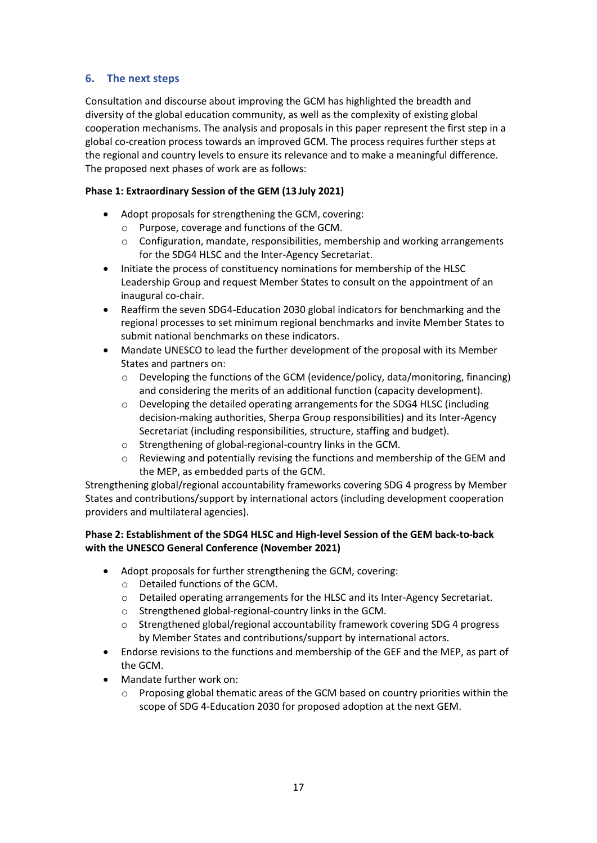## **6. The next steps**

Consultation and discourse about improving the GCM has highlighted the breadth and diversity of the global education community, as well as the complexity of existing global cooperation mechanisms. The analysis and proposals in this paper represent the first step in a global co-creation process towards an improved GCM. The process requires further steps at the regional and country levels to ensure its relevance and to make a meaningful difference. The proposed next phases of work are as follows:

#### **Phase 1: Extraordinary Session of the GEM (13 July 2021)**

- Adopt proposals for strengthening the GCM, covering:
	- o Purpose, coverage and functions of the GCM.
	- o Configuration, mandate, responsibilities, membership and working arrangements for the SDG4 HLSC and the Inter-Agency Secretariat.
- Initiate the process of constituency nominations for membership of the HLSC Leadership Group and request Member States to consult on the appointment of an inaugural co-chair.
- Reaffirm the seven SDG4-Education 2030 global indicators for benchmarking and the regional processes to set minimum regional benchmarks and invite Member States to submit national benchmarks on these indicators.
- Mandate UNESCO to lead the further development of the proposal with its Member States and partners on:
	- o Developing the functions of the GCM (evidence/policy, data/monitoring, financing) and considering the merits of an additional function (capacity development).
	- $\circ$  Developing the detailed operating arrangements for the SDG4 HLSC (including decision-making authorities, Sherpa Group responsibilities) and its Inter-Agency Secretariat (including responsibilities, structure, staffing and budget).
	- o Strengthening of global-regional-country links in the GCM.
	- $\circ$  Reviewing and potentially revising the functions and membership of the GEM and the MEP, as embedded parts of the GCM.

Strengthening global/regional accountability frameworks covering SDG 4 progress by Member States and contributions/support by international actors (including development cooperation providers and multilateral agencies).

#### **Phase 2: Establishment of the SDG4 HLSC and High-level Session of the GEM back-to-back with the UNESCO General Conference (November 2021)**

- Adopt proposals for further strengthening the GCM, covering:
	- o Detailed functions of the GCM.
	- $\circ$  Detailed operating arrangements for the HLSC and its Inter-Agency Secretariat.
	- o Strengthened global-regional-country links in the GCM.
	- o Strengthened global/regional accountability framework covering SDG 4 progress by Member States and contributions/support by international actors.
- Endorse revisions to the functions and membership of the GEF and the MEP, as part of the GCM.
- Mandate further work on:
	- o Proposing global thematic areas of the GCM based on country priorities within the scope of SDG 4-Education 2030 for proposed adoption at the next GEM.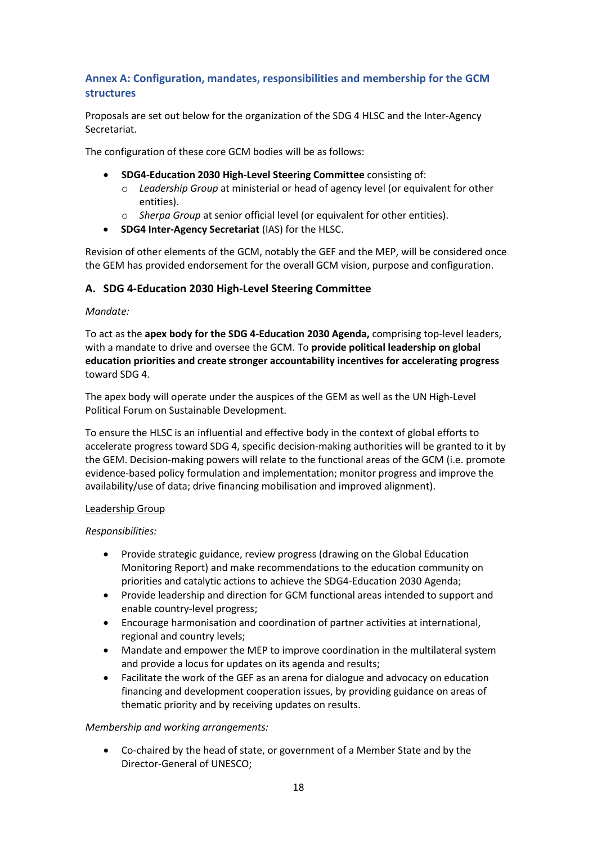### **Annex A: Configuration, mandates, responsibilities and membership for the GCM structures**

Proposals are set out below for the organization of the SDG 4 HLSC and the Inter-Agency Secretariat.

The configuration of these core GCM bodies will be as follows:

- **SDG4-Education 2030 High-Level Steering Committee** consisting of:
	- o *Leadership Group* at ministerial or head of agency level (or equivalent for other entities).
	- o *Sherpa Group* at senior official level (or equivalent for other entities).
- **SDG4 Inter-Agency Secretariat** (IAS) for the HLSC.

Revision of other elements of the GCM, notably the GEF and the MEP, will be considered once the GEM has provided endorsement for the overall GCM vision, purpose and configuration.

#### **A. SDG 4-Education 2030 High-Level Steering Committee**

#### *Mandate:*

To act as the **apex body for the SDG 4-Education 2030 Agenda,** comprising top-level leaders, with a mandate to drive and oversee the GCM. To **provide political leadership on global education priorities and create stronger accountability incentives for accelerating progress** toward SDG 4.

The apex body will operate under the auspices of the GEM as well as the UN High-Level Political Forum on Sustainable Development.

To ensure the HLSC is an influential and effective body in the context of global efforts to accelerate progress toward SDG 4, specific decision-making authorities will be granted to it by the GEM. Decision-making powers will relate to the functional areas of the GCM (i.e. promote evidence-based policy formulation and implementation; monitor progress and improve the availability/use of data; drive financing mobilisation and improved alignment).

#### Leadership Group

*Responsibilities:*

- Provide strategic guidance, review progress (drawing on the Global Education Monitoring Report) and make recommendations to the education community on priorities and catalytic actions to achieve the SDG4-Education 2030 Agenda;
- Provide leadership and direction for GCM functional areas intended to support and enable country-level progress;
- Encourage harmonisation and coordination of partner activities at international, regional and country levels;
- Mandate and empower the MEP to improve coordination in the multilateral system and provide a locus for updates on its agenda and results;
- Facilitate the work of the GEF as an arena for dialogue and advocacy on education financing and development cooperation issues, by providing guidance on areas of thematic priority and by receiving updates on results.

#### *Membership and working arrangements:*

• Co-chaired by the head of state, or government of a Member State and by the Director-General of UNESCO;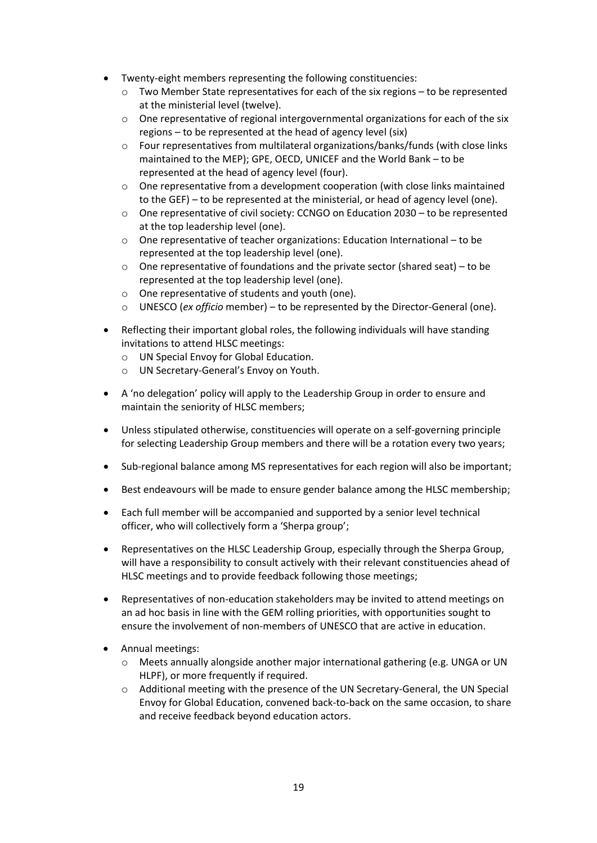- Twenty-eight members representing the following constituencies:
	- $\circ$  Two Member State representatives for each of the six regions to be represented at the ministerial level (twelve).
	- $\circ$  One representative of regional intergovernmental organizations for each of the six regions – to be represented at the head of agency level (six)
	- $\circ$  Four representatives from multilateral organizations/banks/funds (with close links maintained to the MEP); GPE, OECD, UNICEF and the World Bank – to be represented at the head of agency level (four).
	- $\circ$  One representative from a development cooperation (with close links maintained to the GEF) – to be represented at the ministerial, or head of agency level (one).
	- o One representative of civil society: CCNGO on Education 2030 to be represented at the top leadership level (one).
	- o One representative of teacher organizations: Education International to be represented at the top leadership level (one).
	- $\circ$  One representative of foundations and the private sector (shared seat) to be represented at the top leadership level (one).
	- o One representative of students and youth (one).
	- o UNESCO (*ex officio* member) to be represented by the Director-General (one).
- Reflecting their important global roles, the following individuals will have standing invitations to attend HLSC meetings:
	- o UN Special Envoy for Global Education.
	- o UN Secretary-General's Envoy on Youth.
- A 'no delegation' policy will apply to the Leadership Group in order to ensure and maintain the seniority of HLSC members;
- Unless stipulated otherwise, constituencies will operate on a self-governing principle for selecting Leadership Group members and there will be a rotation every two years;
- Sub-regional balance among MS representatives for each region will also be important;
- Best endeavours will be made to ensure gender balance among the HLSC membership;
- Each full member will be accompanied and supported by a senior level technical officer, who will collectively form a 'Sherpa group';
- Representatives on the HLSC Leadership Group, especially through the Sherpa Group, will have a responsibility to consult actively with their relevant constituencies ahead of HLSC meetings and to provide feedback following those meetings;
- Representatives of non-education stakeholders may be invited to attend meetings on an ad hoc basis in line with the GEM rolling priorities, with opportunities sought to ensure the involvement of non-members of UNESCO that are active in education.
- Annual meetings:
	- o Meets annually alongside another major international gathering (e.g. UNGA or UN HLPF), or more frequently if required.
	- o Additional meeting with the presence of the UN Secretary-General, the UN Special Envoy for Global Education, convened back-to-back on the same occasion, to share and receive feedback beyond education actors.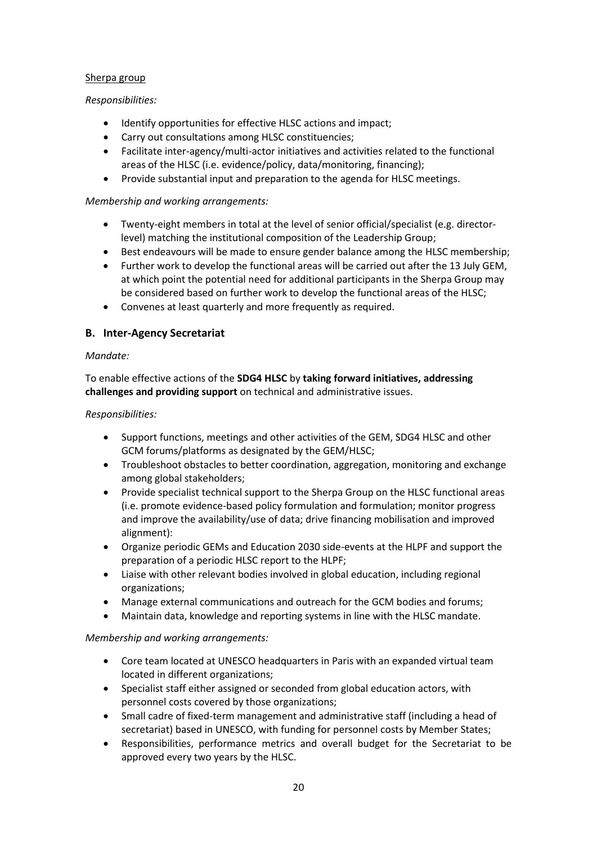#### Sherpa group

#### *Responsibilities:*

- Identify opportunities for effective HLSC actions and impact;
- Carry out consultations among HLSC constituencies;
- Facilitate inter-agency/multi-actor initiatives and activities related to the functional areas of the HLSC (i.e. evidence/policy, data/monitoring, financing);
- Provide substantial input and preparation to the agenda for HLSC meetings.

#### *Membership and working arrangements:*

- Twenty-eight members in total at the level of senior official/specialist (e.g. directorlevel) matching the institutional composition of the Leadership Group;
- Best endeavours will be made to ensure gender balance among the HLSC membership;
- Further work to develop the functional areas will be carried out after the 13 July GEM, at which point the potential need for additional participants in the Sherpa Group may be considered based on further work to develop the functional areas of the HLSC;
- Convenes at least quarterly and more frequently as required.

### **B. Inter-Agency Secretariat**

#### *Mandate:*

To enable effective actions of the **SDG4 HLSC** by **taking forward initiatives, addressing challenges and providing support** on technical and administrative issues.

#### *Responsibilities:*

- Support functions, meetings and other activities of the GEM, SDG4 HLSC and other GCM forums/platforms as designated by the GEM/HLSC;
- Troubleshoot obstacles to better coordination, aggregation, monitoring and exchange among global stakeholders;
- Provide specialist technical support to the Sherpa Group on the HLSC functional areas (i.e. promote evidence-based policy formulation and formulation; monitor progress and improve the availability/use of data; drive financing mobilisation and improved alignment):
- Organize periodic GEMs and Education 2030 side-events at the HLPF and support the preparation of a periodic HLSC report to the HLPF;
- Liaise with other relevant bodies involved in global education, including regional organizations;
- Manage external communications and outreach for the GCM bodies and forums;
- Maintain data, knowledge and reporting systems in line with the HLSC mandate.

#### *Membership and working arrangements:*

- Core team located at UNESCO headquarters in Paris with an expanded virtual team located in different organizations;
- Specialist staff either assigned or seconded from global education actors, with personnel costs covered by those organizations;
- Small cadre of fixed-term management and administrative staff (including a head of secretariat) based in UNESCO, with funding for personnel costs by Member States;
- Responsibilities, performance metrics and overall budget for the Secretariat to be approved every two years by the HLSC.